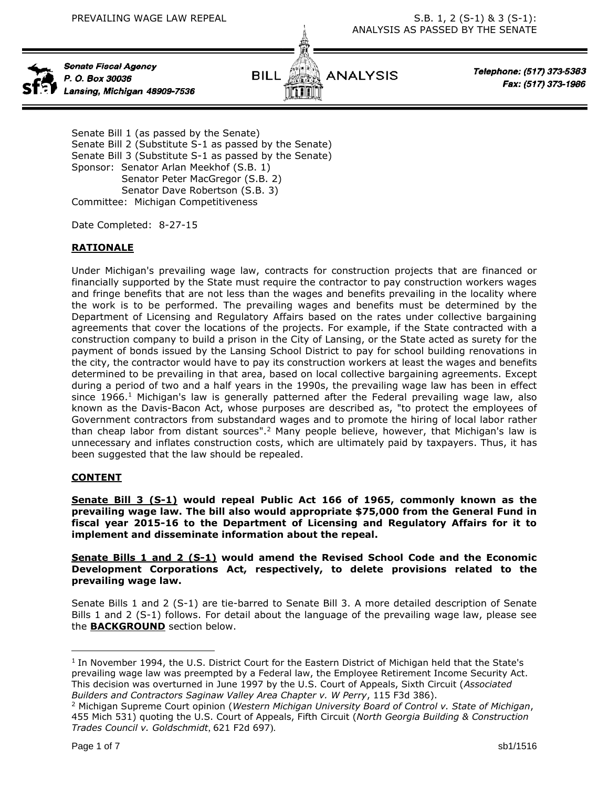

Senate Fiscal Agency P. O. Box 30036 Lansing, Michigan 48909-7536



Telephone: (517) 373-5383 Fax: (517) 373-1986

Senate Bill 1 (as passed by the Senate) Senate Bill 2 (Substitute S-1 as passed by the Senate) Senate Bill 3 (Substitute S-1 as passed by the Senate) Sponsor: Senator Arlan Meekhof (S.B. 1) Senator Peter MacGregor (S.B. 2) Senator Dave Robertson (S.B. 3) Committee: Michigan Competitiveness

Date Completed: 8-27-15

# **RATIONALE**

Under Michigan's prevailing wage law, contracts for construction projects that are financed or financially supported by the State must require the contractor to pay construction workers wages and fringe benefits that are not less than the wages and benefits prevailing in the locality where the work is to be performed. The prevailing wages and benefits must be determined by the Department of Licensing and Regulatory Affairs based on the rates under collective bargaining agreements that cover the locations of the projects. For example, if the State contracted with a construction company to build a prison in the City of Lansing, or the State acted as surety for the payment of bonds issued by the Lansing School District to pay for school building renovations in the city, the contractor would have to pay its construction workers at least the wages and benefits determined to be prevailing in that area, based on local collective bargaining agreements. Except during a period of two and a half years in the 1990s, the prevailing wage law has been in effect since 1966.<sup>1</sup> Michigan's law is generally patterned after the Federal prevailing wage law, also known as the Davis-Bacon Act, whose purposes are described as, "to protect the employees of Government contractors from substandard wages and to promote the hiring of local labor rather than cheap labor from distant sources".<sup>2</sup> Many people believe, however, that Michigan's law is unnecessary and inflates construction costs, which are ultimately paid by taxpayers. Thus, it has been suggested that the law should be repealed.

# **CONTENT**

**Senate Bill 3 (S-1) would repeal Public Act 166 of 1965, commonly known as the prevailing wage law. The bill also would appropriate \$75,000 from the General Fund in fiscal year 2015-16 to the Department of Licensing and Regulatory Affairs for it to implement and disseminate information about the repeal.**

**Senate Bills 1 and 2 (S-1) would amend the Revised School Code and the Economic Development Corporations Act, respectively, to delete provisions related to the prevailing wage law.**

Senate Bills 1 and 2 (S-1) are tie-barred to Senate Bill 3. A more detailed description of Senate Bills 1 and 2 (S-1) follows. For detail about the language of the prevailing wage law, please see the **BACKGROUND** section below.

 $\overline{a}$ 

<sup>&</sup>lt;sup>1</sup> In November 1994, the U.S. District Court for the Eastern District of Michigan held that the State's prevailing wage law was preempted by a Federal law, the Employee Retirement Income Security Act. This decision was overturned in June 1997 by the U.S. Court of Appeals, Sixth Circuit (*Associated Builders and Contractors Saginaw Valley Area Chapter v. W Perry*, 115 F3d 386).

<sup>2</sup> Michigan Supreme Court opinion (*Western Michigan University Board of Control v. State of Michigan*, 455 Mich 531) quoting the U.S. Court of Appeals, Fifth Circuit (*North Georgia Building & Construction Trades Council v. Goldschmidt*, 621 F2d 697).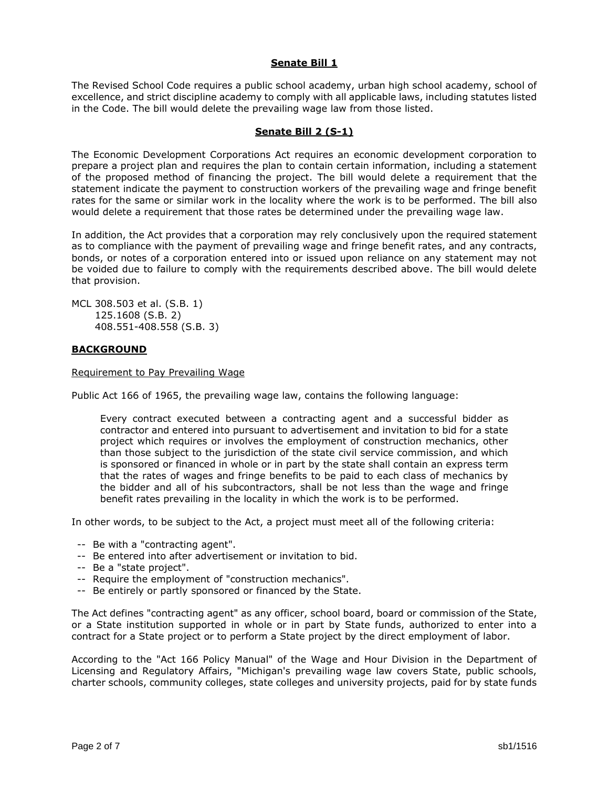### **Senate Bill 1**

The Revised School Code requires a public school academy, urban high school academy, school of excellence, and strict discipline academy to comply with all applicable laws, including statutes listed in the Code. The bill would delete the prevailing wage law from those listed.

### **Senate Bill 2 (S-1)**

The Economic Development Corporations Act requires an economic development corporation to prepare a project plan and requires the plan to contain certain information, including a statement of the proposed method of financing the project. The bill would delete a requirement that the statement indicate the payment to construction workers of the prevailing wage and fringe benefit rates for the same or similar work in the locality where the work is to be performed. The bill also would delete a requirement that those rates be determined under the prevailing wage law.

In addition, the Act provides that a corporation may rely conclusively upon the required statement as to compliance with the payment of prevailing wage and fringe benefit rates, and any contracts, bonds, or notes of a corporation entered into or issued upon reliance on any statement may not be voided due to failure to comply with the requirements described above. The bill would delete that provision.

MCL 308.503 et al. (S.B. 1) 125.1608 (S.B. 2) 408.551-408.558 (S.B. 3)

### **BACKGROUND**

#### Requirement to Pay Prevailing Wage

Public Act 166 of 1965, the prevailing wage law, contains the following language:

Every contract executed between a contracting agent and a successful bidder as contractor and entered into pursuant to advertisement and invitation to bid for a state project which requires or involves the employment of construction mechanics, other than those subject to the jurisdiction of the state civil service commission, and which is sponsored or financed in whole or in part by the state shall contain an express term that the rates of wages and fringe benefits to be paid to each class of mechanics by the bidder and all of his subcontractors, shall be not less than the wage and fringe benefit rates prevailing in the locality in which the work is to be performed.

In other words, to be subject to the Act, a project must meet all of the following criteria:

- -- Be with a "contracting agent".
- -- Be entered into after advertisement or invitation to bid.
- -- Be a "state project".
- -- Require the employment of "construction mechanics".
- -- Be entirely or partly sponsored or financed by the State.

The Act defines "contracting agent" as any officer, school board, board or commission of the State, or a State institution supported in whole or in part by State funds, authorized to enter into a contract for a State project or to perform a State project by the direct employment of labor.

According to the "Act 166 Policy Manual" of the Wage and Hour Division in the Department of Licensing and Regulatory Affairs, "Michigan's prevailing wage law covers State, public schools, charter schools, community colleges, state colleges and university projects, paid for by state funds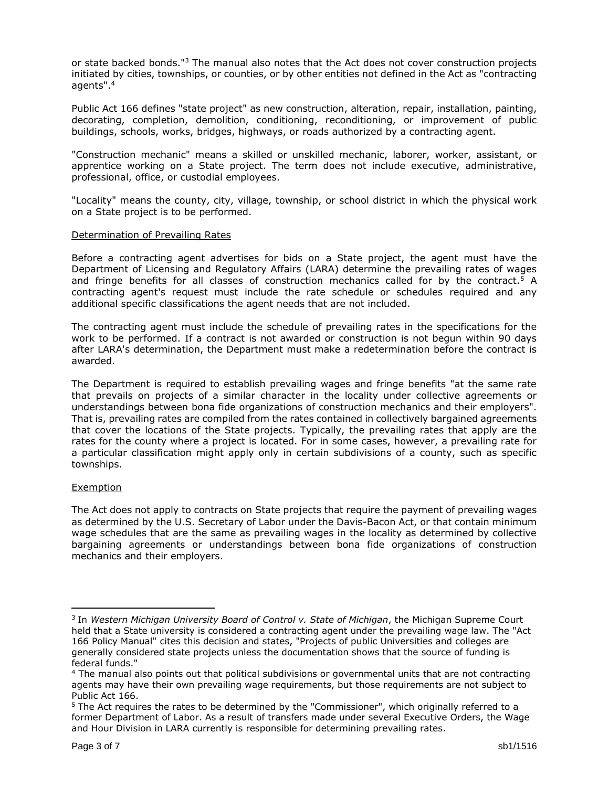or state backed bonds."<sup>3</sup> The manual also notes that the Act does not cover construction projects initiated by cities, townships, or counties, or by other entities not defined in the Act as "contracting agents".<sup>4</sup>

Public Act 166 defines "state project" as new construction, alteration, repair, installation, painting, decorating, completion, demolition, conditioning, reconditioning, or improvement of public buildings, schools, works, bridges, highways, or roads authorized by a contracting agent.

"Construction mechanic" means a skilled or unskilled mechanic, laborer, worker, assistant, or apprentice working on a State project. The term does not include executive, administrative, professional, office, or custodial employees.

"Locality" means the county, city, village, township, or school district in which the physical work on a State project is to be performed.

#### Determination of Prevailing Rates

Before a contracting agent advertises for bids on a State project, the agent must have the Department of Licensing and Regulatory Affairs (LARA) determine the prevailing rates of wages and fringe benefits for all classes of construction mechanics called for by the contract.<sup>5</sup> A contracting agent's request must include the rate schedule or schedules required and any additional specific classifications the agent needs that are not included.

The contracting agent must include the schedule of prevailing rates in the specifications for the work to be performed. If a contract is not awarded or construction is not begun within 90 days after LARA's determination, the Department must make a redetermination before the contract is awarded.

The Department is required to establish prevailing wages and fringe benefits "at the same rate that prevails on projects of a similar character in the locality under collective agreements or understandings between bona fide organizations of construction mechanics and their employers". That is, prevailing rates are compiled from the rates contained in collectively bargained agreements that cover the locations of the State projects. Typically, the prevailing rates that apply are the rates for the county where a project is located. For in some cases, however, a prevailing rate for a particular classification might apply only in certain subdivisions of a county, such as specific townships.

#### **Exemption**

 $\overline{a}$ 

The Act does not apply to contracts on State projects that require the payment of prevailing wages as determined by the U.S. Secretary of Labor under the Davis-Bacon Act, or that contain minimum wage schedules that are the same as prevailing wages in the locality as determined by collective bargaining agreements or understandings between bona fide organizations of construction mechanics and their employers.

<sup>3</sup> In *Western Michigan University Board of Control v. State of Michigan*, the Michigan Supreme Court held that a State university is considered a contracting agent under the prevailing wage law. The "Act 166 Policy Manual" cites this decision and states, "Projects of public Universities and colleges are generally considered state projects unless the documentation shows that the source of funding is federal funds."

<sup>4</sup> The manual also points out that political subdivisions or governmental units that are not contracting agents may have their own prevailing wage requirements, but those requirements are not subject to Public Act 166.

<sup>&</sup>lt;sup>5</sup> The Act requires the rates to be determined by the "Commissioner", which originally referred to a former Department of Labor. As a result of transfers made under several Executive Orders, the Wage and Hour Division in LARA currently is responsible for determining prevailing rates.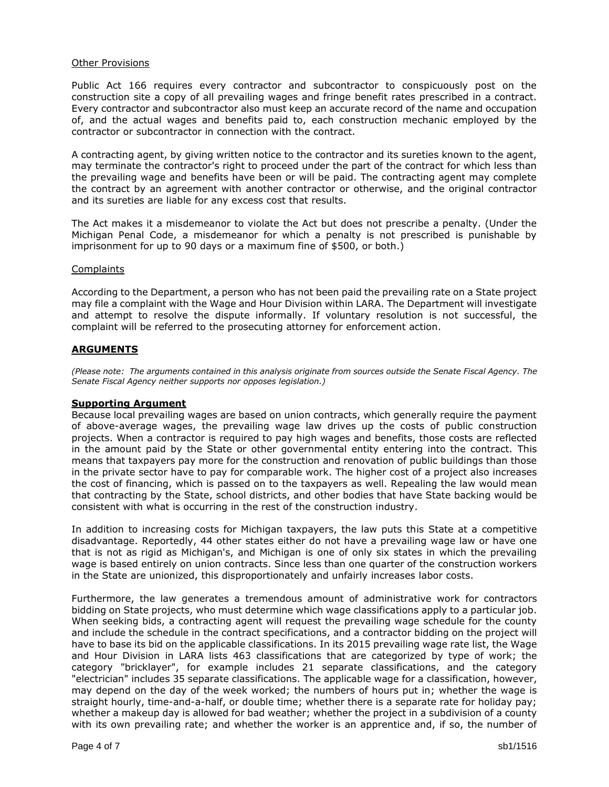#### Other Provisions

Public Act 166 requires every contractor and subcontractor to conspicuously post on the construction site a copy of all prevailing wages and fringe benefit rates prescribed in a contract. Every contractor and subcontractor also must keep an accurate record of the name and occupation of, and the actual wages and benefits paid to, each construction mechanic employed by the contractor or subcontractor in connection with the contract.

A contracting agent, by giving written notice to the contractor and its sureties known to the agent, may terminate the contractor's right to proceed under the part of the contract for which less than the prevailing wage and benefits have been or will be paid. The contracting agent may complete the contract by an agreement with another contractor or otherwise, and the original contractor and its sureties are liable for any excess cost that results.

The Act makes it a misdemeanor to violate the Act but does not prescribe a penalty. (Under the Michigan Penal Code, a misdemeanor for which a penalty is not prescribed is punishable by imprisonment for up to 90 days or a maximum fine of \$500, or both.)

#### **Complaints**

According to the Department, a person who has not been paid the prevailing rate on a State project may file a complaint with the Wage and Hour Division within LARA. The Department will investigate and attempt to resolve the dispute informally. If voluntary resolution is not successful, the complaint will be referred to the prosecuting attorney for enforcement action.

#### **ARGUMENTS**

*(Please note: The arguments contained in this analysis originate from sources outside the Senate Fiscal Agency. The Senate Fiscal Agency neither supports nor opposes legislation.)*

#### **Supporting Argument**

Because local prevailing wages are based on union contracts, which generally require the payment of above-average wages, the prevailing wage law drives up the costs of public construction projects. When a contractor is required to pay high wages and benefits, those costs are reflected in the amount paid by the State or other governmental entity entering into the contract. This means that taxpayers pay more for the construction and renovation of public buildings than those in the private sector have to pay for comparable work. The higher cost of a project also increases the cost of financing, which is passed on to the taxpayers as well. Repealing the law would mean that contracting by the State, school districts, and other bodies that have State backing would be consistent with what is occurring in the rest of the construction industry.

In addition to increasing costs for Michigan taxpayers, the law puts this State at a competitive disadvantage. Reportedly, 44 other states either do not have a prevailing wage law or have one that is not as rigid as Michigan's, and Michigan is one of only six states in which the prevailing wage is based entirely on union contracts. Since less than one quarter of the construction workers in the State are unionized, this disproportionately and unfairly increases labor costs.

Furthermore, the law generates a tremendous amount of administrative work for contractors bidding on State projects, who must determine which wage classifications apply to a particular job. When seeking bids, a contracting agent will request the prevailing wage schedule for the county and include the schedule in the contract specifications, and a contractor bidding on the project will have to base its bid on the applicable classifications. In its 2015 prevailing wage rate list, the Wage and Hour Division in LARA lists 463 classifications that are categorized by type of work; the category "bricklayer", for example includes 21 separate classifications, and the category "electrician" includes 35 separate classifications. The applicable wage for a classification, however, may depend on the day of the week worked; the numbers of hours put in; whether the wage is straight hourly, time-and-a-half, or double time; whether there is a separate rate for holiday pay; whether a makeup day is allowed for bad weather; whether the project in a subdivision of a county with its own prevailing rate; and whether the worker is an apprentice and, if so, the number of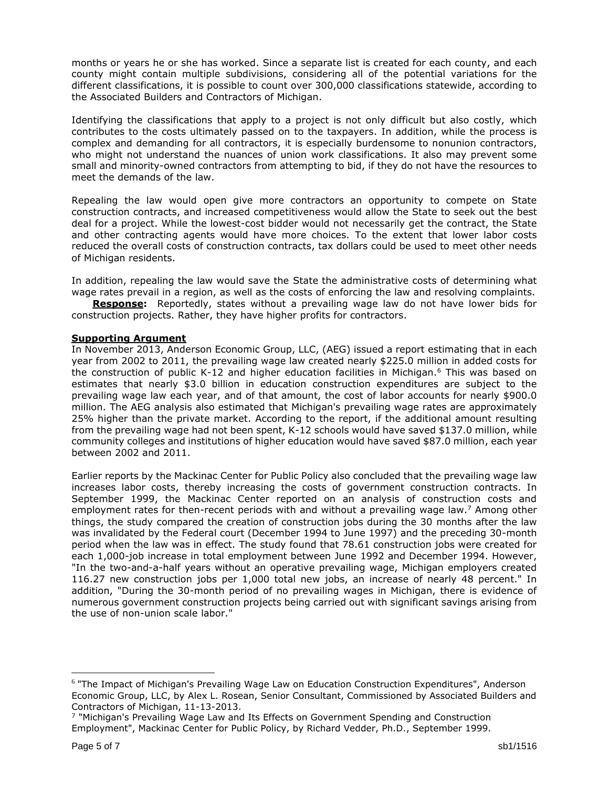months or years he or she has worked. Since a separate list is created for each county, and each county might contain multiple subdivisions, considering all of the potential variations for the different classifications, it is possible to count over 300,000 classifications statewide, according to the Associated Builders and Contractors of Michigan.

Identifying the classifications that apply to a project is not only difficult but also costly, which contributes to the costs ultimately passed on to the taxpayers. In addition, while the process is complex and demanding for all contractors, it is especially burdensome to nonunion contractors, who might not understand the nuances of union work classifications. It also may prevent some small and minority-owned contractors from attempting to bid, if they do not have the resources to meet the demands of the law.

Repealing the law would open give more contractors an opportunity to compete on State construction contracts, and increased competitiveness would allow the State to seek out the best deal for a project. While the lowest-cost bidder would not necessarily get the contract, the State and other contracting agents would have more choices. To the extent that lower labor costs reduced the overall costs of construction contracts, tax dollars could be used to meet other needs of Michigan residents.

In addition, repealing the law would save the State the administrative costs of determining what wage rates prevail in a region, as well as the costs of enforcing the law and resolving complaints.

**Response:** Reportedly, states without a prevailing wage law do not have lower bids for construction projects. Rather, they have higher profits for contractors.

### **Supporting Argument**

In November 2013, Anderson Economic Group, LLC, (AEG) issued a report estimating that in each year from 2002 to 2011, the prevailing wage law created nearly \$225.0 million in added costs for the construction of public K-12 and higher education facilities in Michigan.<sup>6</sup> This was based on estimates that nearly \$3.0 billion in education construction expenditures are subject to the prevailing wage law each year, and of that amount, the cost of labor accounts for nearly \$900.0 million. The AEG analysis also estimated that Michigan's prevailing wage rates are approximately 25% higher than the private market. According to the report, if the additional amount resulting from the prevailing wage had not been spent, K-12 schools would have saved \$137.0 million, while community colleges and institutions of higher education would have saved \$87.0 million, each year between 2002 and 2011.

Earlier reports by the Mackinac Center for Public Policy also concluded that the prevailing wage law increases labor costs, thereby increasing the costs of government construction contracts. In September 1999, the Mackinac Center reported on an analysis of construction costs and employment rates for then-recent periods with and without a prevailing wage law.<sup>7</sup> Among other things, the study compared the creation of construction jobs during the 30 months after the law was invalidated by the Federal court (December 1994 to June 1997) and the preceding 30-month period when the law was in effect. The study found that 78.61 construction jobs were created for each 1,000-job increase in total employment between June 1992 and December 1994. However, "In the two-and-a-half years without an operative prevailing wage, Michigan employers created 116.27 new construction jobs per 1,000 total new jobs, an increase of nearly 48 percent." In addition, "During the 30-month period of no prevailing wages in Michigan, there is evidence of numerous government construction projects being carried out with significant savings arising from the use of non-union scale labor."

 $\overline{a}$ 

<sup>&</sup>lt;sup>6</sup> "The Impact of Michigan's Prevailing Wage Law on Education Construction Expenditures", Anderson Economic Group, LLC, by Alex L. Rosean, Senior Consultant, Commissioned by Associated Builders and Contractors of Michigan, 11-13-2013.

<sup>7</sup> "Michigan's Prevailing Wage Law and Its Effects on Government Spending and Construction Employment", Mackinac Center for Public Policy, by Richard Vedder, Ph.D., September 1999.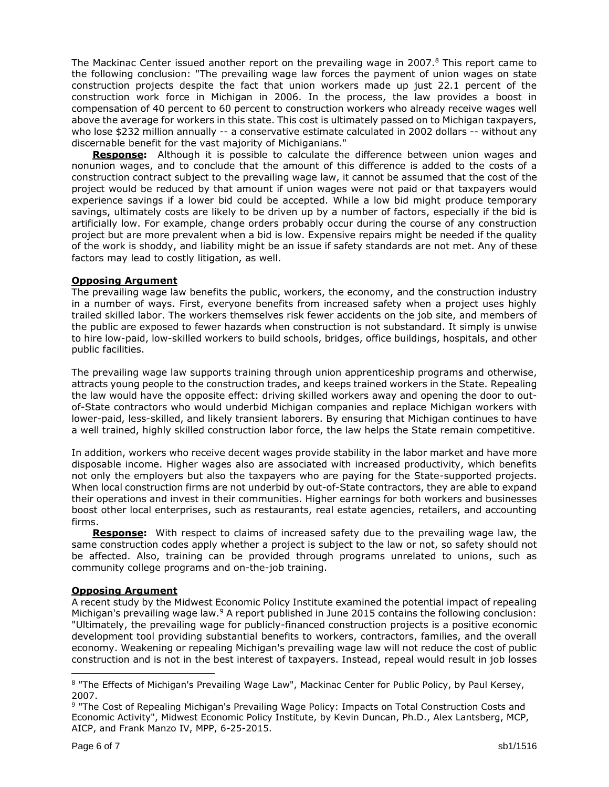The Mackinac Center issued another report on the prevailing wage in 2007. $8$  This report came to the following conclusion: "The prevailing wage law forces the payment of union wages on state construction projects despite the fact that union workers made up just 22.1 percent of the construction work force in Michigan in 2006. In the process, the law provides a boost in compensation of 40 percent to 60 percent to construction workers who already receive wages well above the average for workers in this state. This cost is ultimately passed on to Michigan taxpayers, who lose \$232 million annually -- a conservative estimate calculated in 2002 dollars -- without any discernable benefit for the vast majority of Michiganians."

**Response:** Although it is possible to calculate the difference between union wages and nonunion wages, and to conclude that the amount of this difference is added to the costs of a construction contract subject to the prevailing wage law, it cannot be assumed that the cost of the project would be reduced by that amount if union wages were not paid or that taxpayers would experience savings if a lower bid could be accepted. While a low bid might produce temporary savings, ultimately costs are likely to be driven up by a number of factors, especially if the bid is artificially low. For example, change orders probably occur during the course of any construction project but are more prevalent when a bid is low. Expensive repairs might be needed if the quality of the work is shoddy, and liability might be an issue if safety standards are not met. Any of these factors may lead to costly litigation, as well.

### **Opposing Argument**

The prevailing wage law benefits the public, workers, the economy, and the construction industry in a number of ways. First, everyone benefits from increased safety when a project uses highly trailed skilled labor. The workers themselves risk fewer accidents on the job site, and members of the public are exposed to fewer hazards when construction is not substandard. It simply is unwise to hire low-paid, low-skilled workers to build schools, bridges, office buildings, hospitals, and other public facilities.

The prevailing wage law supports training through union apprenticeship programs and otherwise, attracts young people to the construction trades, and keeps trained workers in the State. Repealing the law would have the opposite effect: driving skilled workers away and opening the door to outof-State contractors who would underbid Michigan companies and replace Michigan workers with lower-paid, less-skilled, and likely transient laborers. By ensuring that Michigan continues to have a well trained, highly skilled construction labor force, the law helps the State remain competitive.

In addition, workers who receive decent wages provide stability in the labor market and have more disposable income. Higher wages also are associated with increased productivity, which benefits not only the employers but also the taxpayers who are paying for the State-supported projects. When local construction firms are not underbid by out-of-State contractors, they are able to expand their operations and invest in their communities. Higher earnings for both workers and businesses boost other local enterprises, such as restaurants, real estate agencies, retailers, and accounting firms.

**Response:** With respect to claims of increased safety due to the prevailing wage law, the same construction codes apply whether a project is subject to the law or not, so safety should not be affected. Also, training can be provided through programs unrelated to unions, such as community college programs and on-the-job training.

# **Opposing Argument**

A recent study by the Midwest Economic Policy Institute examined the potential impact of repealing Michigan's prevailing wage law.<sup>9</sup> A report published in June 2015 contains the following conclusion: "Ultimately, the prevailing wage for publicly-financed construction projects is a positive economic development tool providing substantial benefits to workers, contractors, families, and the overall economy. Weakening or repealing Michigan's prevailing wage law will not reduce the cost of public construction and is not in the best interest of taxpayers. Instead, repeal would result in job losses

 $\overline{a}$ 

<sup>8 &</sup>quot;The Effects of Michigan's Prevailing Wage Law", Mackinac Center for Public Policy, by Paul Kersey, 2007.

<sup>9 &</sup>quot;The Cost of Repealing Michigan's Prevailing Wage Policy: Impacts on Total Construction Costs and Economic Activity", Midwest Economic Policy Institute, by Kevin Duncan, Ph.D., Alex Lantsberg, MCP, AICP, and Frank Manzo IV, MPP, 6-25-2015.